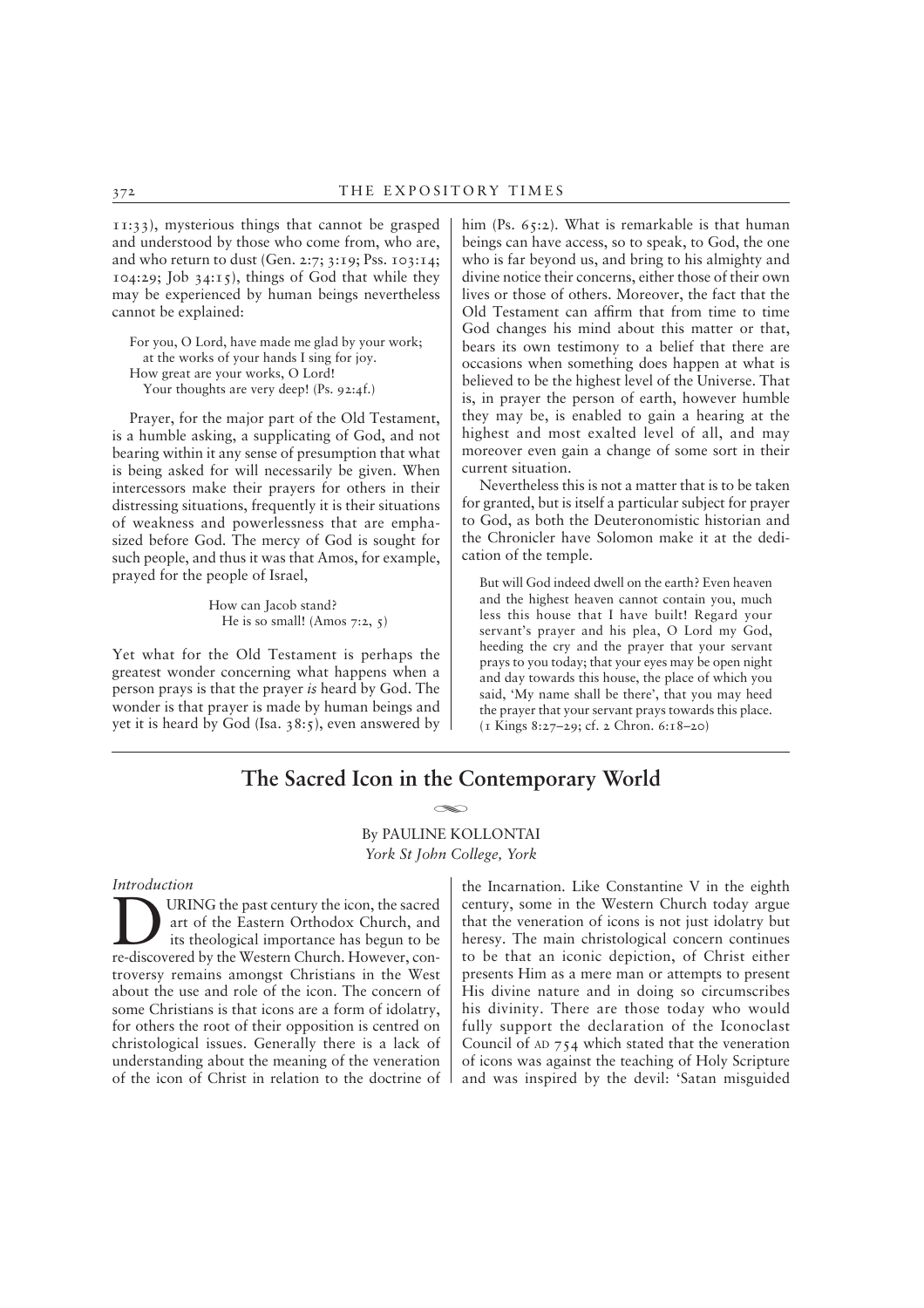11:33), mysterious things that cannot be grasped and understood by those who come from, who are, and who return to dust (Gen. 2:7; 3:19; Pss. 103:14; 104:29; Job 34:15), things of God that while they may be experienced by human beings nevertheless cannot be explained:

For you, O Lord, have made me glad by your work; at the works of your hands I sing for joy. How great are your works, O Lord! Your thoughts are very deep! (Ps. 92:4f.)

Prayer, for the major part of the Old Testament, is a humble asking, a supplicating of God, and not bearing within it any sense of presumption that what is being asked for will necessarily be given. When intercessors make their prayers for others in their distressing situations, frequently it is their situations of weakness and powerlessness that are emphasized before God. The mercy of God is sought for such people, and thus it was that Amos, for example, prayed for the people of Israel,

> How can Jacob stand? He is so small! (Amos  $7:2, 5$ )

Yet what for the Old Testament is perhaps the greatest wonder concerning what happens when a person prays is that the prayer *is* heard by God. The wonder is that prayer is made by human beings and yet it is heard by God (Isa. 38:5), even answered by

him (Ps. 65:2). What is remarkable is that human beings can have access, so to speak, to God, the one who is far beyond us, and bring to his almighty and divine notice their concerns, either those of their own lives or those of others. Moreover, the fact that the Old Testament can affirm that from time to time God changes his mind about this matter or that, bears its own testimony to a belief that there are occasions when something does happen at what is believed to be the highest level of the Universe. That is, in prayer the person of earth, however humble they may be, is enabled to gain a hearing at the highest and most exalted level of all, and may moreover even gain a change of some sort in their current situation.

Nevertheless this is not a matter that is to be taken for granted, but is itself a particular subject for prayer to God, as both the Deuteronomistic historian and the Chronicler have Solomon make it at the dedication of the temple.

But will God indeed dwell on the earth? Even heaven and the highest heaven cannot contain you, much less this house that I have built! Regard your servant's prayer and his plea, O Lord my God, heeding the cry and the prayer that your servant prays to you today; that your eyes may be open night and day towards this house, the place of which you said, 'My name shall be there', that you may heed the prayer that your servant prays towards this place. (1 Kings 8:27–29; cf. 2 Chron. 6:18–20)

## **The Sacred Icon in the Contemporary World**  $\sim$

By PAULINE KOLLONTAI *York St John College, York*

### *Introduction*

DURING the past century the icon, the sacred art of the Eastern Orthodox Church, and its theological importance has begun to be re-discovered by the Western Church. However, controversy remains amongst Christians in the West about the use and role of the icon. The concern of some Christians is that icons are a form of idolatry, for others the root of their opposition is centred on christological issues. Generally there is a lack of understanding about the meaning of the veneration of the icon of Christ in relation to the doctrine of

the Incarnation. Like Constantine V in the eighth century, some in the Western Church today argue that the veneration of icons is not just idolatry but heresy. The main christological concern continues to be that an iconic depiction, of Christ either presents Him as a mere man or attempts to present His divine nature and in doing so circumscribes his divinity. There are those today who would fully support the declaration of the Iconoclast Council of AD 754 which stated that the veneration of icons was against the teaching of Holy Scripture and was inspired by the devil: 'Satan misguided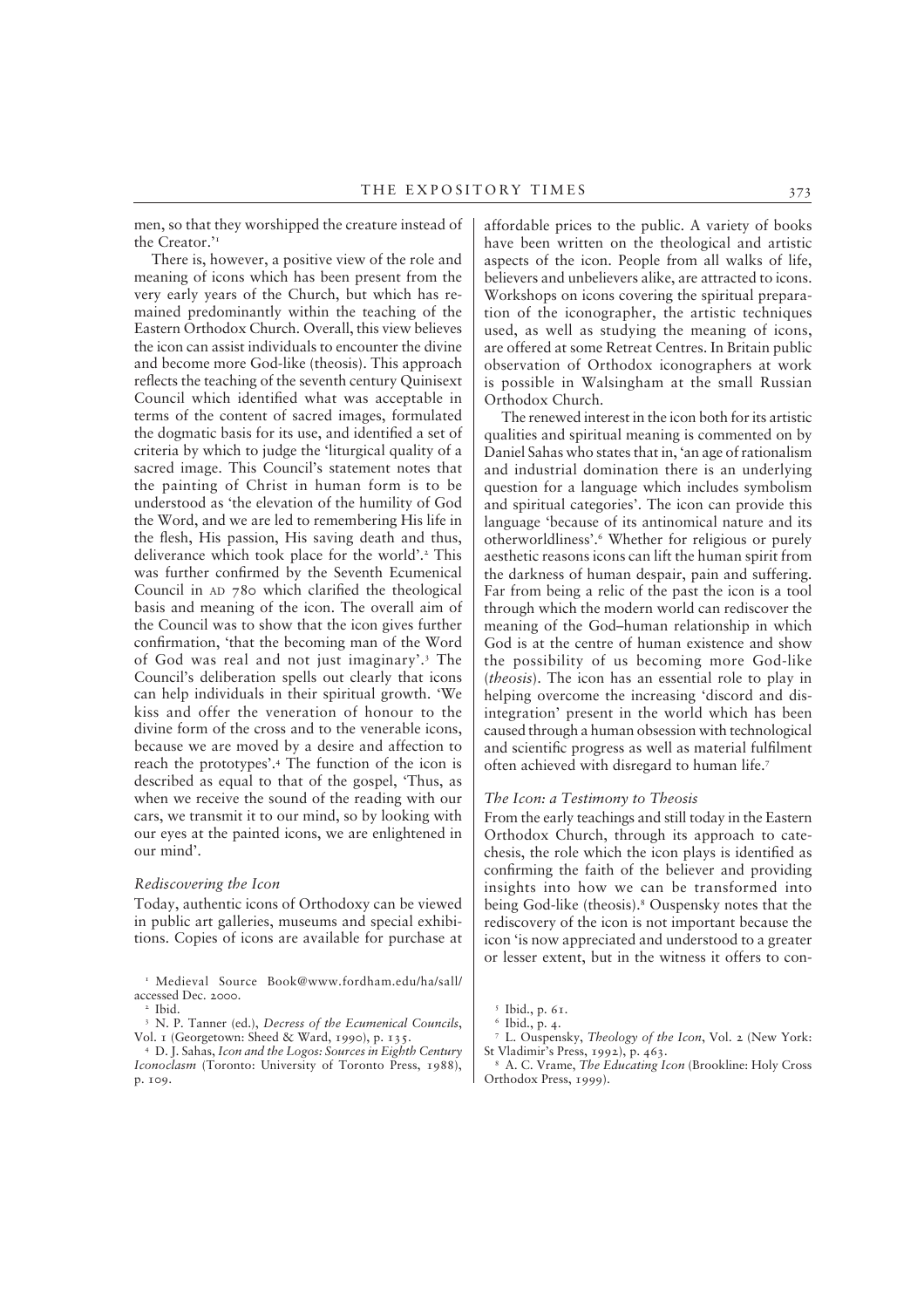men, so that they worshipped the creature instead of the Creator<sup>'1</sup>

There is, however, a positive view of the role and meaning of icons which has been present from the very early years of the Church, but which has remained predominantly within the teaching of the Eastern Orthodox Church. Overall, this view believes the icon can assist individuals to encounter the divine and become more God-like (theosis). This approach reflects the teaching of the seventh century Quinisext Council which identified what was acceptable in terms of the content of sacred images, formulated the dogmatic basis for its use, and identified a set of criteria by which to judge the 'liturgical quality of a sacred image. This Council's statement notes that the painting of Christ in human form is to be understood as 'the elevation of the humility of God the Word, and we are led to remembering His life in the flesh, His passion, His saving death and thus, deliverance which took place for the world'.<sup>2</sup> This was further confirmed by the Seventh Ecumenical Council in AD 780 which clarified the theological basis and meaning of the icon. The overall aim of the Council was to show that the icon gives further confirmation, 'that the becoming man of the Word of God was real and not just imaginary'.<sup>3</sup> The Council's deliberation spells out clearly that icons can help individuals in their spiritual growth. 'We kiss and offer the veneration of honour to the divine form of the cross and to the venerable icons, because we are moved by a desire and affection to reach the prototypes'.<sup>4</sup> The function of the icon is described as equal to that of the gospel, 'Thus, as when we receive the sound of the reading with our cars, we transmit it to our mind, so by looking with our eyes at the painted icons, we are enlightened in our mind'.

### *Rediscovering the Icon*

Today, authentic icons of Orthodoxy can be viewed in public art galleries, museums and special exhibitions. Copies of icons are available for purchase at

<sup>4</sup> D. J. Sahas, *Icon and the Logos: Sources in Eighth Century Iconoclasm* (Toronto: University of Toronto Press, 1988), p. 109.

affordable prices to the public. A variety of books have been written on the theological and artistic aspects of the icon. People from all walks of life, believers and unbelievers alike, are attracted to icons. Workshops on icons covering the spiritual preparation of the iconographer, the artistic techniques used, as well as studying the meaning of icons, are offered at some Retreat Centres. In Britain public observation of Orthodox iconographers at work is possible in Walsingham at the small Russian Orthodox Church.

The renewed interest in the icon both for its artistic qualities and spiritual meaning is commented on by Daniel Sahas who states that in, 'an age of rationalism and industrial domination there is an underlying question for a language which includes symbolism and spiritual categories'. The icon can provide this language 'because of its antinomical nature and its otherworldliness'.<sup>6</sup> Whether for religious or purely aesthetic reasons icons can lift the human spirit from the darkness of human despair, pain and suffering. Far from being a relic of the past the icon is a tool through which the modern world can rediscover the meaning of the God–human relationship in which God is at the centre of human existence and show the possibility of us becoming more God-like (*theosis*). The icon has an essential role to play in helping overcome the increasing 'discord and disintegration' present in the world which has been caused through a human obsession with technological and scientific progress as well as material fulfilment often achieved with disregard to human life.<sup>7</sup>

### *The Icon: a Testimony to Theosis*

From the early teachings and still today in the Eastern Orthodox Church, through its approach to catechesis, the role which the icon plays is identified as confirming the faith of the believer and providing insights into how we can be transformed into being God-like (theosis).<sup>8</sup> Ouspensky notes that the rediscovery of the icon is not important because the icon 'is now appreciated and understood to a greater or lesser extent, but in the witness it offers to con-

<sup>1</sup> Medieval Source Book@www.fordham.edu/ha/sall/ accessed Dec. 2000.

<sup>2</sup> Ibid.

<sup>3</sup> N. P. Tanner (ed.), *Decress of the Ecumenical Councils*, Vol. 1 (Georgetown: Sheed & Ward, 1990), p. 135.

<sup>5</sup> Ibid., p. 61.

<sup>6</sup> Ibid., p. 4.

<sup>7</sup> L. Ouspensky, *Theology of the Icon*, Vol. 2 (New York: St Vladimir's Press, 1992), p. 463.

<sup>8</sup> A. C. Vrame, *The Educating Icon* (Brookline: Holy Cross Orthodox Press, 1999).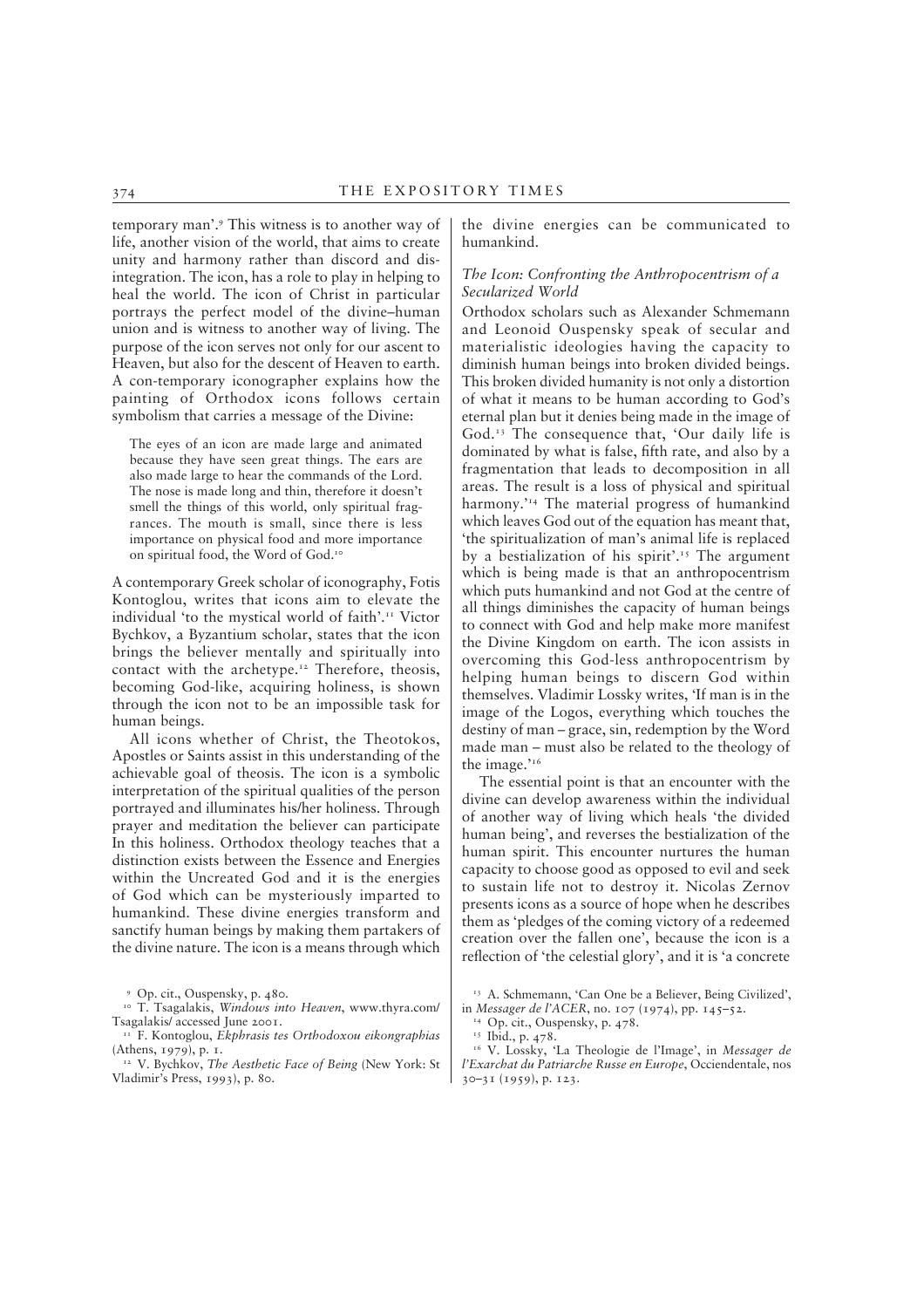temporary man'.<sup>9</sup> This witness is to another way of life, another vision of the world, that aims to create unity and harmony rather than discord and disintegration. The icon, has a role to play in helping to heal the world. The icon of Christ in particular portrays the perfect model of the divine–human union and is witness to another way of living. The purpose of the icon serves not only for our ascent to Heaven, but also for the descent of Heaven to earth. A con-temporary iconographer explains how the painting of Orthodox icons follows certain symbolism that carries a message of the Divine:

The eyes of an icon are made large and animated because they have seen great things. The ears are also made large to hear the commands of the Lord. The nose is made long and thin, therefore it doesn't smell the things of this world, only spiritual fragrances. The mouth is small, since there is less importance on physical food and more importance on spiritual food, the Word of God.<sup>10</sup>

A contemporary Greek scholar of iconography, Fotis Kontoglou, writes that icons aim to elevate the individual 'to the mystical world of faith'. <sup>11</sup> Victor Bychkov, a Byzantium scholar, states that the icon brings the believer mentally and spiritually into contact with the archetype.<sup>12</sup> Therefore, theosis, becoming God-like, acquiring holiness, is shown through the icon not to be an impossible task for human beings.

All icons whether of Christ, the Theotokos, Apostles or Saints assist in this understanding of the achievable goal of theosis. The icon is a symbolic interpretation of the spiritual qualities of the person portrayed and illuminates his/her holiness. Through prayer and meditation the believer can participate In this holiness. Orthodox theology teaches that a distinction exists between the Essence and Energies within the Uncreated God and it is the energies of God which can be mysteriously imparted to humankind. These divine energies transform and sanctify human beings by making them partakers of the divine nature. The icon is a means through which

the divine energies can be communicated to humankind.

## *The Icon: Confronting the Anthropocentrism of a Secularized World*

Orthodox scholars such as Alexander Schmemann and Leonoid Ouspensky speak of secular and materialistic ideologies having the capacity to diminish human beings into broken divided beings. This broken divided humanity is not only a distortion of what it means to be human according to God's eternal plan but it denies being made in the image of God.<sup>13</sup> The consequence that, 'Our daily life is dominated by what is false, fifth rate, and also by a fragmentation that leads to decomposition in all areas. The result is a loss of physical and spiritual harmony.'<sup>14</sup> The material progress of humankind which leaves God out of the equation has meant that, 'the spiritualization of man's animal life is replaced by a bestialization of his spirit'.<sup>15</sup> The argument which is being made is that an anthropocentrism which puts humankind and not God at the centre of all things diminishes the capacity of human beings to connect with God and help make more manifest the Divine Kingdom on earth. The icon assists in overcoming this God-less anthropocentrism by helping human beings to discern God within themselves. Vladimir Lossky writes, 'If man is in the image of the Logos, everything which touches the destiny of man – grace, sin, redemption by the Word made man – must also be related to the theology of the image.' 16

The essential point is that an encounter with the divine can develop awareness within the individual of another way of living which heals 'the divided human being', and reverses the bestialization of the human spirit. This encounter nurtures the human capacity to choose good as opposed to evil and seek to sustain life not to destroy it. Nicolas Zernov presents icons as a source of hope when he describes them as 'pledges of the coming victory of a redeemed creation over the fallen one', because the icon is a reflection of 'the celestial glory', and it is 'a concrete

<sup>9</sup> Op. cit., Ouspensky, p. 480.

<sup>10</sup> T. Tsagalakis, *Windows into Heaven*, www.thyra.com/ Tsagalakis/ accessed June 2001.

<sup>11</sup> F. Kontoglou, *Ekphrasis tes Orthodoxou eikongraphias* (Athens, 1979), p. 1.

<sup>12</sup> V. Bychkov, *The Aesthetic Face of Being* (New York: St Vladimir's Press, 1993), p. 80.

<sup>&</sup>lt;sup>13</sup> A. Schmemann, 'Can One be a Believer, Being Civilized', in *Messager de l'ACER*, no. 107 (1974), pp. 145–52.

<sup>&</sup>lt;sup>14</sup> Op. cit., Ouspensky, p. 478.

<sup>&</sup>lt;sup>15</sup> Ibid., p. 478.

<sup>16</sup> V. Lossky, 'La Theologie de l'Image', in *Messager de l'Exarchat du Patriarche Russe en Europe*, Occiendentale, nos 30–31 (1959), p. 123.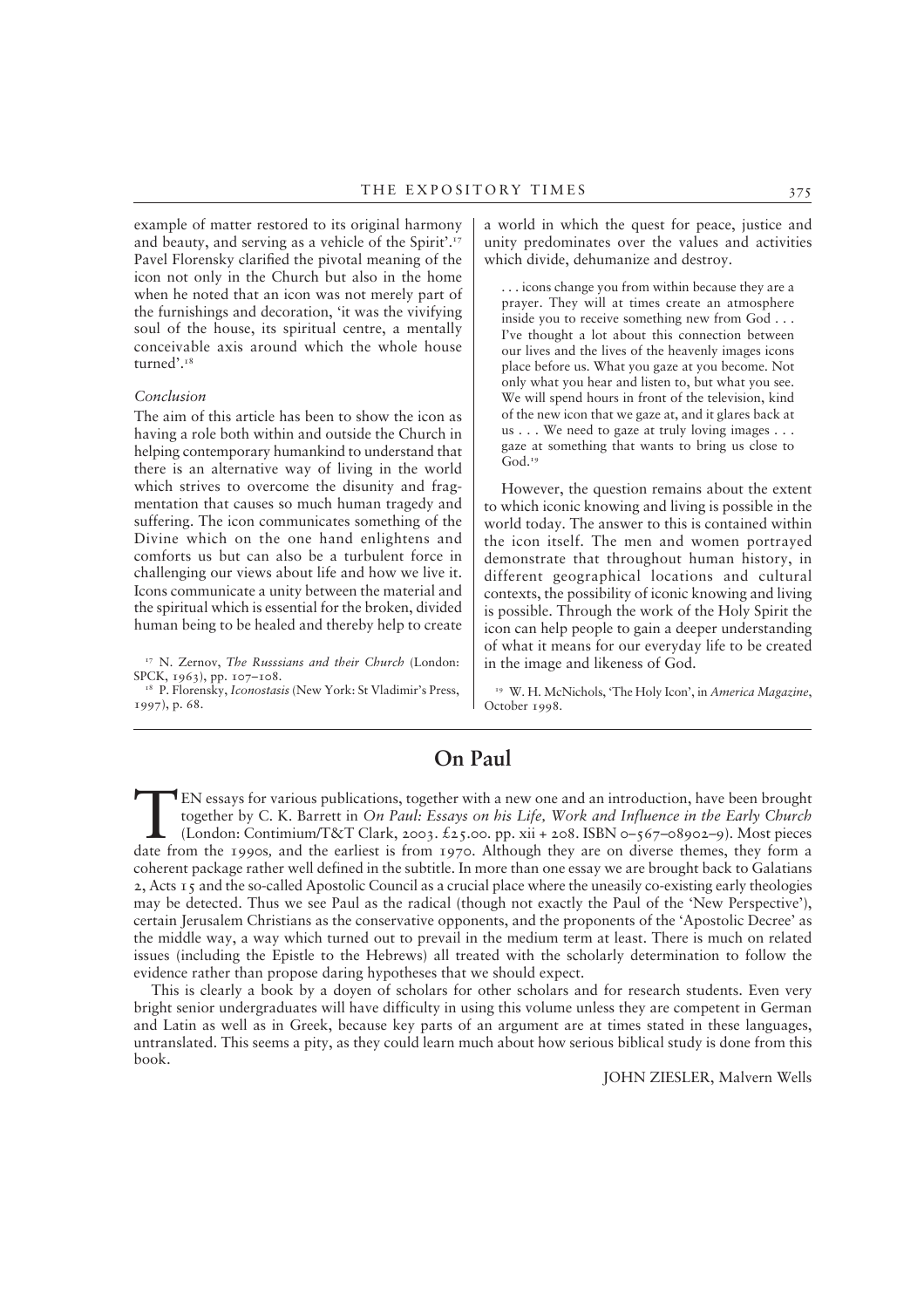example of matter restored to its original harmony and beauty, and serving as a vehicle of the Spirit'.<sup>17</sup> Pavel Florensky clarified the pivotal meaning of the icon not only in the Church but also in the home when he noted that an icon was not merely part of the furnishings and decoration, 'it was the vivifying soul of the house, its spiritual centre, a mentally conceivable axis around which the whole house turned'.<sup>18</sup>

#### *Conclusion*

The aim of this article has been to show the icon as having a role both within and outside the Church in helping contemporary humankind to understand that there is an alternative way of living in the world which strives to overcome the disunity and fragmentation that causes so much human tragedy and suffering. The icon communicates something of the Divine which on the one hand enlightens and comforts us but can also be a turbulent force in challenging our views about life and how we live it. Icons communicate a unity between the material and the spiritual which is essential for the broken, divided human being to be healed and thereby help to create

<sup>17</sup> N. Zernov, *The Russsians and their Church* (London: in the image and likeness of God. SPCK, 1963), pp. 107–108.

<sup>18</sup> P. Florensky, *Iconostasis* (New York: St Vladimir's Press, 1997), p. 68.

a world in which the quest for peace, justice and unity predominates over the values and activities which divide, dehumanize and destroy.

. . . icons change you from within because they are a prayer. They will at times create an atmosphere inside you to receive something new from God . . . I've thought a lot about this connection between our lives and the lives of the heavenly images icons place before us. What you gaze at you become. Not only what you hear and listen to, but what you see. We will spend hours in front of the television, kind of the new icon that we gaze at, and it glares back at us . . . We need to gaze at truly loving images . . . gaze at something that wants to bring us close to God.<sup>19</sup>

However, the question remains about the extent to which iconic knowing and living is possible in the world today. The answer to this is contained within the icon itself. The men and women portrayed demonstrate that throughout human history, in different geographical locations and cultural contexts, the possibility of iconic knowing and living is possible. Through the work of the Holy Spirit the icon can help people to gain a deeper understanding of what it means for our everyday life to be created

<sup>19</sup> W. H. McNichols, 'The Holy Icon', in *America Magazine*, October 1998.

# **On Paul**

TEN essays for various publications, together with a new one and an introduction, have been brought together by C. K. Barrett in *On Paul: Essays on his Life, Work and Influence in the Early Church* (London: Contimium/T&T Clark, 2003. £25.00. pp. xii + 208. ISBN 0–567–08902–9). Most pieces date from the 1990s*,* and the earliest is from 1970. Although they are on diverse themes, they form a coherent package rather well defined in the subtitle. In more than one essay we are brought back to Galatians 2, Acts 15 and the so-called Apostolic Council as a crucial place where the uneasily co-existing early theologies may be detected. Thus we see Paul as the radical (though not exactly the Paul of the 'New Perspective'), certain Jerusalem Christians as the conservative opponents, and the proponents of the 'Apostolic Decree' as the middle way, a way which turned out to prevail in the medium term at least. There is much on related issues (including the Epistle to the Hebrews) all treated with the scholarly determination to follow the evidence rather than propose daring hypotheses that we should expect.

This is clearly a book by a doyen of scholars for other scholars and for research students. Even very bright senior undergraduates will have difficulty in using this volume unless they are competent in German and Latin as well as in Greek, because key parts of an argument are at times stated in these languages, untranslated. This seems a pity, as they could learn much about how serious biblical study is done from this book.

JOHN ZIESLER, Malvern Wells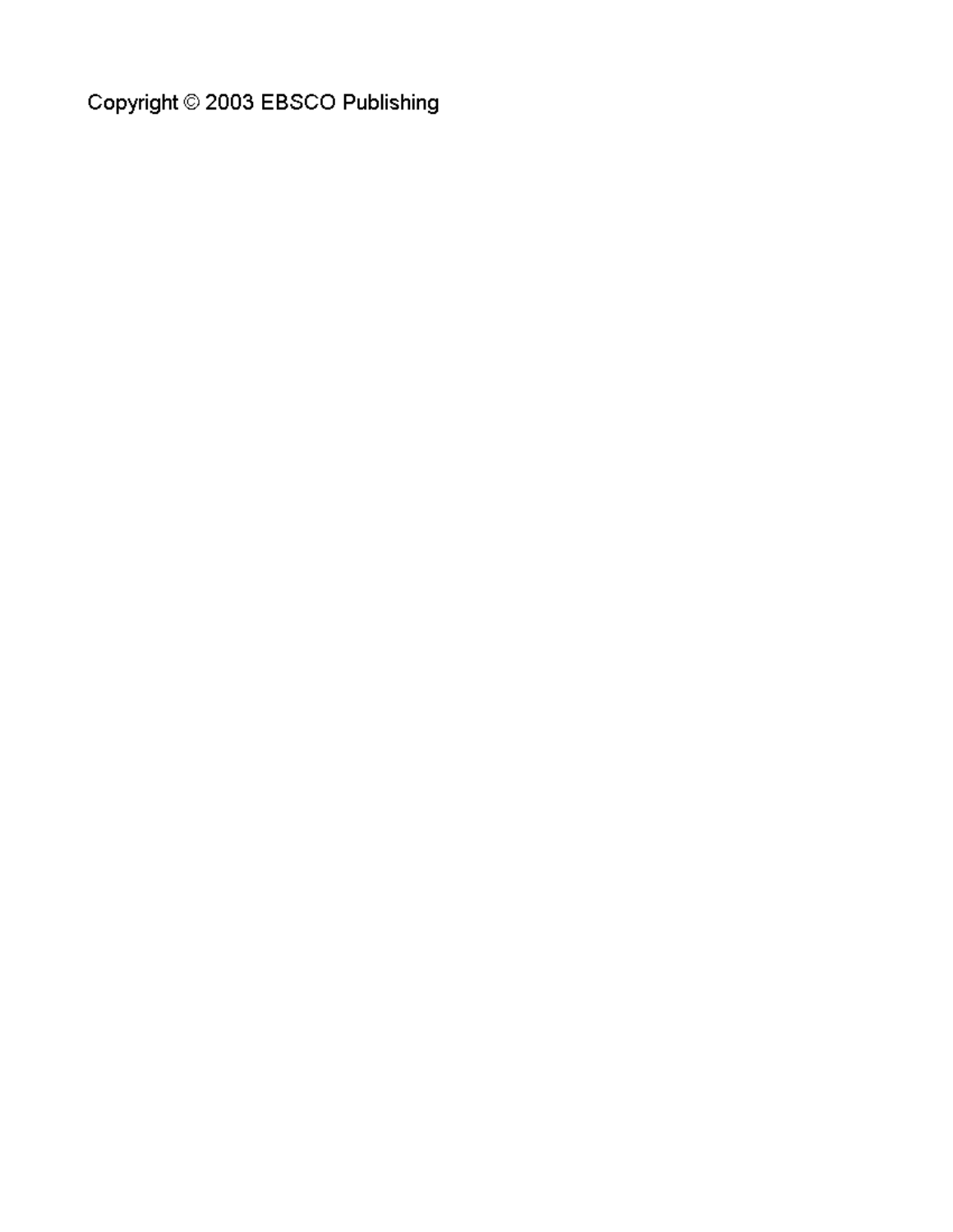Copyright © 2003 EBSCO Publishing